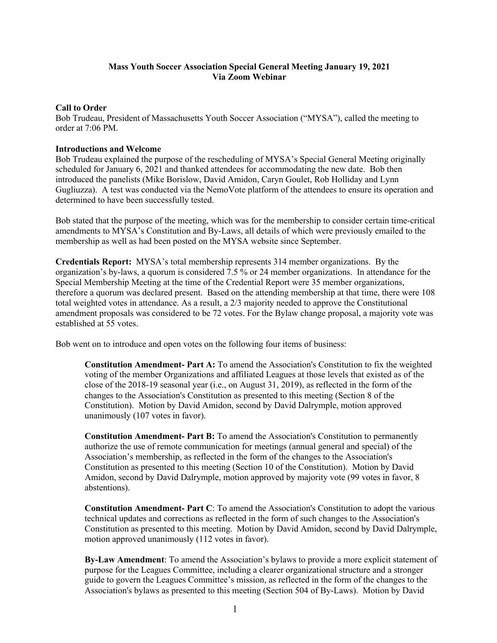## **Mass Youth Soccer Association Special General Meeting January 19, 2021 Via Zoom Webinar**

## **Call to Order**

Bob Trudeau, President of Massachusetts Youth Soccer Association ("MYSA"), called the meeting to order at 7:06 PM.

## **Introductions and Welcome**

Bob Trudeau explained the purpose of the rescheduling of MYSA's Special General Meeting originally scheduled for January 6, 2021 and thanked attendees for accommodating the new date. Bob then introduced the panelists (Mike Borislow, David Amidon, Caryn Goulet, Rob Holliday and Lynn Gugliuzza). A test was conducted via the NemoVote platform of the attendees to ensure its operation and determined to have been successfully tested.

Bob stated that the purpose of the meeting, which was for the membership to consider certain time-critical amendments to MYSA's Constitution and By-Laws, all details of which were previously emailed to the membership as well as had been posted on the MYSA website since September.

**Credentials Report:** MYSA's total membership represents 314 member organizations. By the organization's by-laws, a quorum is considered 7.5 % or 24 member organizations. In attendance for the Special Membership Meeting at the time of the Credential Report were 35 member organizations, therefore a quorum was declared present. Based on the attending membership at that time, there were 108 total weighted votes in attendance. As a result, a 2/3 majority needed to approve the Constitutional amendment proposals was considered to be 72 votes. For the Bylaw change proposal, a majority vote was established at 55 votes.

Bob went on to introduce and open votes on the following four items of business:

**Constitution Amendment- Part A:** To amend the Association's Constitution to fix the weighted voting of the member Organizations and affiliated Leagues at those levels that existed as of the close of the 2018-19 seasonal year (i.e., on August 31, 2019), as reflected in the form of the changes to the Association's Constitution as presented to this meeting (Section 8 of the Constitution). Motion by David Amidon, second by David Dalrymple, motion approved unanimously (107 votes in favor).

**Constitution Amendment- Part B:** To amend the Association's Constitution to permanently authorize the use of remote communication for meetings (annual general and special) of the Association's membership, as reflected in the form of the changes to the Association's Constitution as presented to this meeting (Section 10 of the Constitution). Motion by David Amidon, second by David Dalrymple, motion approved by majority vote (99 votes in favor, 8 abstentions).

**Constitution Amendment- Part C**: To amend the Association's Constitution to adopt the various technical updates and corrections as reflected in the form of such changes to the Association's Constitution as presented to this meeting. Motion by David Amidon, second by David Dalrymple, motion approved unanimously (112 votes in favor).

**By-Law Amendment**: To amend the Association's bylaws to provide a more explicit statement of purpose for the Leagues Committee, including a clearer organizational structure and a stronger guide to govern the Leagues Committee's mission, as reflected in the form of the changes to the Association's bylaws as presented to this meeting (Section 504 of By-Laws). Motion by David